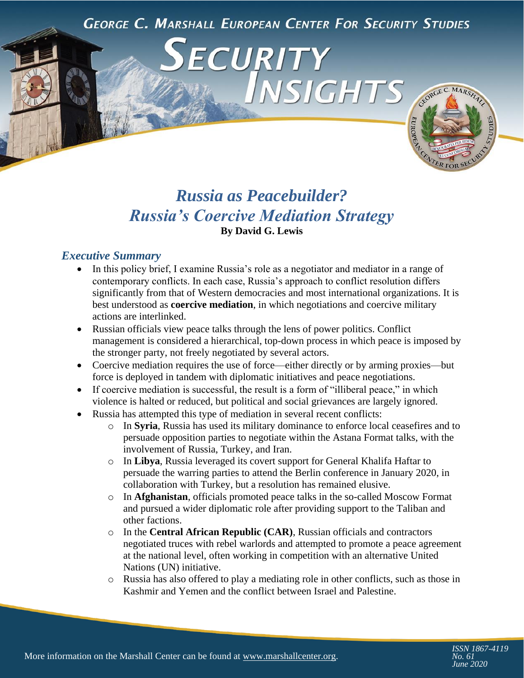**GEORGE C. MARSHALL EUROPEAN CENTER FOR SECURITY STUDIES** 

INSIGHTS

ECURITY

# CEORGE C. MARSHAL

# *Russia as Peacebuilder? Russia's Coercive Mediation Strategy*  **By David G. Lewis**

# *Executive Summary*

- In this policy brief, I examine Russia's role as a negotiator and mediator in a range of contemporary conflicts. In each case, Russia's approach to conflict resolution differs significantly from that of Western democracies and most international organizations. It is best understood as **coercive mediation**, in which negotiations and coercive military actions are interlinked.
- Russian officials view peace talks through the lens of power politics. Conflict management is considered a hierarchical, top-down process in which peace is imposed by the stronger party, not freely negotiated by several actors.
- Coercive mediation requires the use of force—either directly or by arming proxies—but force is deployed in tandem with diplomatic initiatives and peace negotiations.
- If coercive mediation is successful, the result is a form of "illiberal peace," in which violence is halted or reduced, but political and social grievances are largely ignored.
- Russia has attempted this type of mediation in several recent conflicts:
	- o In **Syria**, Russia has used its military dominance to enforce local ceasefires and to persuade opposition parties to negotiate within the Astana Format talks, with the involvement of Russia, Turkey, and Iran.
	- o In **Libya**, Russia leveraged its covert support for General Khalifa Haftar to persuade the warring parties to attend the Berlin conference in January 2020, in collaboration with Turkey, but a resolution has remained elusive.
	- o In **Afghanistan**, officials promoted peace talks in the so-called Moscow Format and pursued a wider diplomatic role after providing support to the Taliban and other factions.
	- o In the **Central African Republic (CAR)**, Russian officials and contractors negotiated truces with rebel warlords and attempted to promote a peace agreement at the national level, often working in competition with an alternative United Nations (UN) initiative.
	- o Russia has also offered to play a mediating role in other conflicts, such as those in Kashmir and Yemen and the conflict between Israel and Palestine.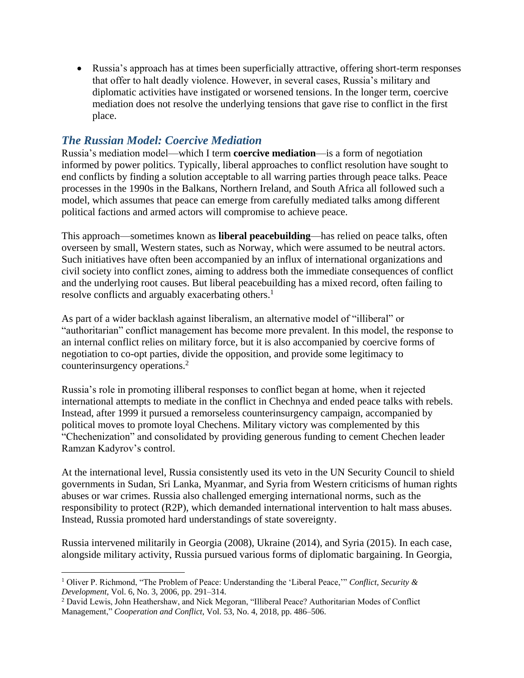Russia's approach has at times been superficially attractive, offering short-term responses that offer to halt deadly violence. However, in several cases, Russia's military and diplomatic activities have instigated or worsened tensions. In the longer term, coercive mediation does not resolve the underlying tensions that gave rise to conflict in the first place.

# *The Russian Model: Coercive Mediation*

Russia's mediation model—which I term **coercive mediation**—is a form of negotiation informed by power politics. Typically, liberal approaches to conflict resolution have sought to end conflicts by finding a solution acceptable to all warring parties through peace talks. Peace processes in the 1990s in the Balkans, Northern Ireland, and South Africa all followed such a model, which assumes that peace can emerge from carefully mediated talks among different political factions and armed actors will compromise to achieve peace.

This approach—sometimes known as **liberal peacebuilding**—has relied on peace talks, often overseen by small, Western states, such as Norway, which were assumed to be neutral actors. Such initiatives have often been accompanied by an influx of international organizations and civil society into conflict zones, aiming to address both the immediate consequences of conflict and the underlying root causes. But liberal peacebuilding has a mixed record, often failing to resolve conflicts and arguably exacerbating others.<sup>1</sup>

As part of a wider backlash against liberalism, an alternative model of "illiberal" or "authoritarian" conflict management has become more prevalent. In this model, the response to an internal conflict relies on military force, but it is also accompanied by coercive forms of negotiation to co-opt parties, divide the opposition, and provide some legitimacy to counterinsurgency operations.<sup>2</sup>

Russia's role in promoting illiberal responses to conflict began at home, when it rejected international attempts to mediate in the conflict in Chechnya and ended peace talks with rebels. Instead, after 1999 it pursued a remorseless counterinsurgency campaign, accompanied by political moves to promote loyal Chechens. Military victory was complemented by this "Chechenization" and consolidated by providing generous funding to cement Chechen leader Ramzan Kadyrov's control.

At the international level, Russia consistently used its veto in the UN Security Council to shield governments in Sudan, Sri Lanka, Myanmar, and Syria from Western criticisms of human rights abuses or war crimes. Russia also challenged emerging international norms, such as the responsibility to protect (R2P), which demanded international intervention to halt mass abuses. Instead, Russia promoted hard understandings of state sovereignty.

Russia intervened militarily in Georgia (2008), Ukraine (2014), and Syria (2015). In each case, alongside military activity, Russia pursued various forms of diplomatic bargaining. In Georgia,

 $\overline{\phantom{a}}$ 

<sup>1</sup> Oliver P. Richmond, "The Problem of Peace: Understanding the 'Liberal Peace,'" *Conflict, Security & Development*, Vol. 6, No. 3, 2006, pp. 291–314.

<sup>2</sup> David Lewis, John Heathershaw, and Nick Megoran, "Illiberal Peace? Authoritarian Modes of Conflict Management," *Cooperation and Conflict*, Vol. 53, No. 4, 2018, pp. 486–506.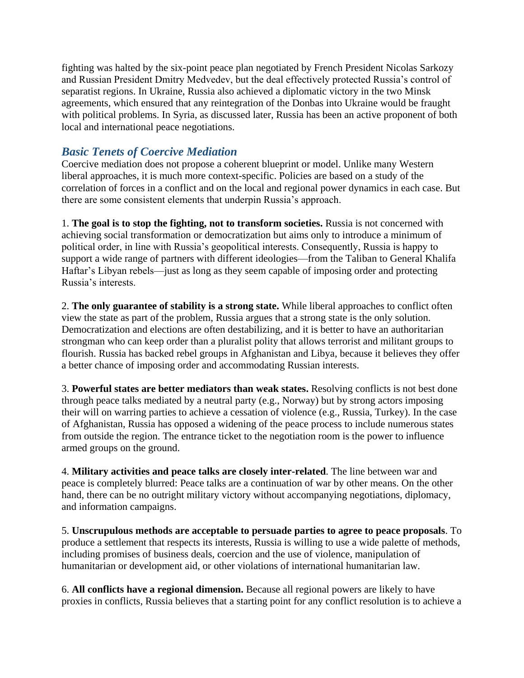fighting was halted by the six-point peace plan negotiated by French President Nicolas Sarkozy and Russian President Dmitry Medvedev, but the deal effectively protected Russia's control of separatist regions. In Ukraine, Russia also achieved a diplomatic victory in the two Minsk agreements, which ensured that any reintegration of the Donbas into Ukraine would be fraught with political problems. In Syria, as discussed later, Russia has been an active proponent of both local and international peace negotiations.

# *Basic Tenets of Coercive Mediation*

Coercive mediation does not propose a coherent blueprint or model. Unlike many Western liberal approaches, it is much more context-specific. Policies are based on a study of the correlation of forces in a conflict and on the local and regional power dynamics in each case. But there are some consistent elements that underpin Russia's approach.

1. **The goal is to stop the fighting, not to transform societies.** Russia is not concerned with achieving social transformation or democratization but aims only to introduce a minimum of political order, in line with Russia's geopolitical interests. Consequently, Russia is happy to support a wide range of partners with different ideologies—from the Taliban to General Khalifa Haftar's Libyan rebels—just as long as they seem capable of imposing order and protecting Russia's interests.

2. **The only guarantee of stability is a strong state.** While liberal approaches to conflict often view the state as part of the problem, Russia argues that a strong state is the only solution. Democratization and elections are often destabilizing, and it is better to have an authoritarian strongman who can keep order than a pluralist polity that allows terrorist and militant groups to flourish. Russia has backed rebel groups in Afghanistan and Libya, because it believes they offer a better chance of imposing order and accommodating Russian interests.

3. **Powerful states are better mediators than weak states.** Resolving conflicts is not best done through peace talks mediated by a neutral party (e.g., Norway) but by strong actors imposing their will on warring parties to achieve a cessation of violence (e.g., Russia, Turkey). In the case of Afghanistan, Russia has opposed a widening of the peace process to include numerous states from outside the region. The entrance ticket to the negotiation room is the power to influence armed groups on the ground.

4. **Military activities and peace talks are closely inter-related**. The line between war and peace is completely blurred: Peace talks are a continuation of war by other means. On the other hand, there can be no outright military victory without accompanying negotiations, diplomacy, and information campaigns.

5. **Unscrupulous methods are acceptable to persuade parties to agree to peace proposals**. To produce a settlement that respects its interests, Russia is willing to use a wide palette of methods, including promises of business deals, coercion and the use of violence, manipulation of humanitarian or development aid, or other violations of international humanitarian law.

6. **All conflicts have a regional dimension.** Because all regional powers are likely to have proxies in conflicts, Russia believes that a starting point for any conflict resolution is to achieve a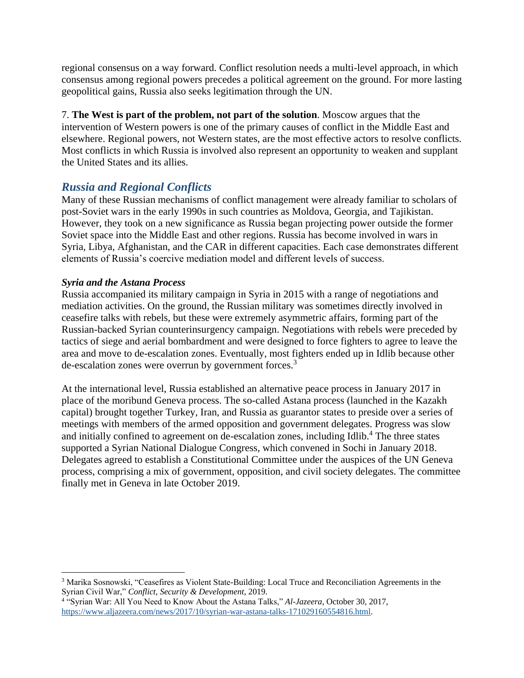regional consensus on a way forward. Conflict resolution needs a multi-level approach, in which consensus among regional powers precedes a political agreement on the ground. For more lasting geopolitical gains, Russia also seeks legitimation through the UN.

7. **The West is part of the problem, not part of the solution**. Moscow argues that the intervention of Western powers is one of the primary causes of conflict in the Middle East and elsewhere. Regional powers, not Western states, are the most effective actors to resolve conflicts. Most conflicts in which Russia is involved also represent an opportunity to weaken and supplant the United States and its allies.

# *Russia and Regional Conflicts*

Many of these Russian mechanisms of conflict management were already familiar to scholars of post-Soviet wars in the early 1990s in such countries as Moldova, Georgia, and Tajikistan. However, they took on a new significance as Russia began projecting power outside the former Soviet space into the Middle East and other regions. Russia has become involved in wars in Syria, Libya, Afghanistan, and the CAR in different capacities. Each case demonstrates different elements of Russia's coercive mediation model and different levels of success.

#### *Syria and the Astana Process*

 $\overline{\phantom{a}}$ 

Russia accompanied its military campaign in Syria in 2015 with a range of negotiations and mediation activities. On the ground, the Russian military was sometimes directly involved in ceasefire talks with rebels, but these were extremely asymmetric affairs, forming part of the Russian-backed Syrian counterinsurgency campaign. Negotiations with rebels were preceded by tactics of siege and aerial bombardment and were designed to force fighters to agree to leave the area and move to de-escalation zones. Eventually, most fighters ended up in Idlib because other de-escalation zones were overrun by government forces.<sup>3</sup>

At the international level, Russia established an alternative peace process in January 2017 in place of the moribund Geneva process. The so-called Astana process (launched in the Kazakh capital) brought together Turkey, Iran, and Russia as guarantor states to preside over a series of meetings with members of the armed opposition and government delegates. Progress was slow and initially confined to agreement on de-escalation zones, including Idlib.<sup>4</sup> The three states supported a Syrian National Dialogue Congress, which convened in Sochi in January 2018. Delegates agreed to establish a Constitutional Committee under the auspices of the UN Geneva process, comprising a mix of government, opposition, and civil society delegates. The committee finally met in Geneva in late October 2019.

<sup>3</sup> Marika Sosnowski, "Ceasefires as Violent State-Building: Local Truce and Reconciliation Agreements in the Syrian Civil War," *Conflict, Security & Development*, 2019.

<sup>4</sup> "Syrian War: All You Need to Know About the Astana Talks," *Al-Jazeera*, October 30, 2017, [https://www.aljazeera.com/news/2017/10/syrian-war-astana-talks-171029160554816.html.](https://www.aljazeera.com/news/2017/10/syrian-war-astana-talks-171029160554816.html)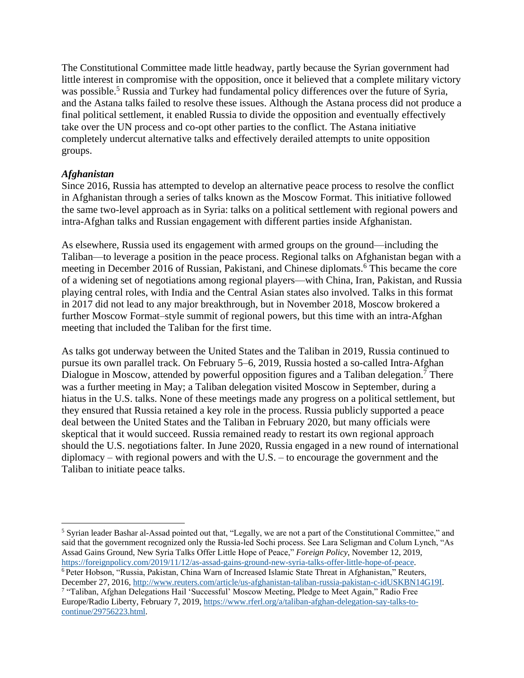The Constitutional Committee made little headway, partly because the Syrian government had little interest in compromise with the opposition, once it believed that a complete military victory was possible.<sup>5</sup> Russia and Turkey had fundamental policy differences over the future of Syria, and the Astana talks failed to resolve these issues. Although the Astana process did not produce a final political settlement, it enabled Russia to divide the opposition and eventually effectively take over the UN process and co-opt other parties to the conflict. The Astana initiative completely undercut alternative talks and effectively derailed attempts to unite opposition groups.

#### *Afghanistan*

 $\overline{\phantom{a}}$ 

Since 2016, Russia has attempted to develop an alternative peace process to resolve the conflict in Afghanistan through a series of talks known as the Moscow Format. This initiative followed the same two-level approach as in Syria: talks on a political settlement with regional powers and intra-Afghan talks and Russian engagement with different parties inside Afghanistan.

As elsewhere, Russia used its engagement with armed groups on the ground—including the Taliban—to leverage a position in the peace process. Regional talks on Afghanistan began with a meeting in December 2016 of Russian, Pakistani, and Chinese diplomats.<sup>6</sup> This became the core of a widening set of negotiations among regional players—with China, Iran, Pakistan, and Russia playing central roles, with India and the Central Asian states also involved. Talks in this format in 2017 did not lead to any major breakthrough, but in November 2018, Moscow brokered a further Moscow Format–style summit of regional powers, but this time with an intra-Afghan meeting that included the Taliban for the first time.

As talks got underway between the United States and the Taliban in 2019, Russia continued to pursue its own parallel track. On February 5–6, 2019, Russia hosted a so-called Intra-Afghan Dialogue in Moscow, attended by powerful opposition figures and a Taliban delegation.<sup>7</sup> There was a further meeting in May; a Taliban delegation visited Moscow in September, during a hiatus in the U.S. talks. None of these meetings made any progress on a political settlement, but they ensured that Russia retained a key role in the process. Russia publicly supported a peace deal between the United States and the Taliban in February 2020, but many officials were skeptical that it would succeed. Russia remained ready to restart its own regional approach should the U.S. negotiations falter. In June 2020, Russia engaged in a new round of international diplomacy – with regional powers and with the U.S. – to encourage the government and the Taliban to initiate peace talks.

<sup>5</sup> Syrian leader Bashar al-Assad pointed out that, "Legally, we are not a part of the Constitutional Committee," and said that the government recognized only the Russia-led Sochi process. See Lara Seligman and Colum Lynch, "As Assad Gains Ground, New Syria Talks Offer Little Hope of Peace," *Foreign Policy*, November 12, 2019, [https://foreignpolicy.com/2019/11/12/as-assad-gains-ground-new-syria-talks-offer-little-hope-of-peace.](https://foreignpolicy.com/2019/11/12/as-assad-gains-ground-new-syria-talks-offer-little-hope-of-peace)

<sup>6</sup> Peter Hobson, "Russia, Pakistan, China Warn of Increased Islamic State Threat in Afghanistan," Reuters, December 27, 2016[, http://www.reuters.com/article/us-afghanistan-taliban-russia-pakistan-c-idUSKBN14G19I.](http://www.reuters.com/article/us-afghanistan-taliban-russia-pakistan-c-idUSKBN14G19I)

<sup>7</sup> "Taliban, Afghan Delegations Hail 'Successful' Moscow Meeting, Pledge to Meet Again," Radio Free Europe/Radio Liberty, February 7, 2019, [https://www.rferl.org/a/taliban-afghan-delegation-say-talks-to](https://www.rferl.org/a/taliban-afghan-delegation-say-talks-to-continue/29756223.html)[continue/29756223.html.](https://www.rferl.org/a/taliban-afghan-delegation-say-talks-to-continue/29756223.html)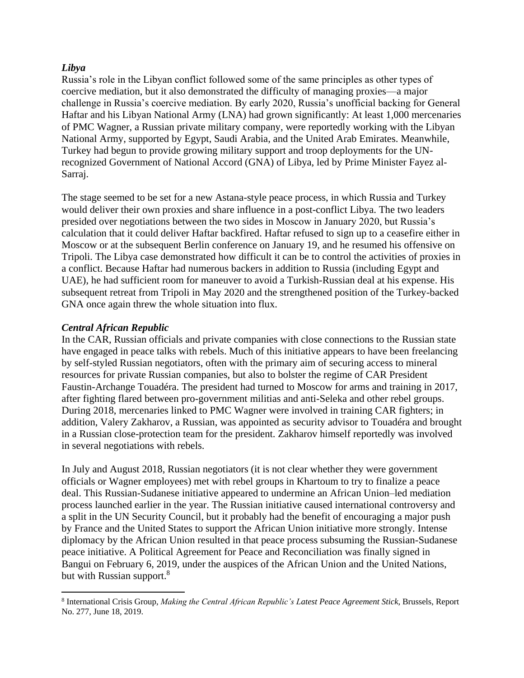#### *Libya*

Russia's role in the Libyan conflict followed some of the same principles as other types of coercive mediation, but it also demonstrated the difficulty of managing proxies—a major challenge in Russia's coercive mediation. By early 2020, Russia's unofficial backing for General Haftar and his Libyan National Army (LNA) had grown significantly: At least 1,000 mercenaries of PMC Wagner, a Russian private military company, were reportedly working with the Libyan National Army, supported by Egypt, Saudi Arabia, and the United Arab Emirates. Meanwhile, Turkey had begun to provide growing military support and troop deployments for the UNrecognized Government of National Accord (GNA) of Libya, led by Prime Minister Fayez al-Sarraj.

The stage seemed to be set for a new Astana-style peace process, in which Russia and Turkey would deliver their own proxies and share influence in a post-conflict Libya. The two leaders presided over negotiations between the two sides in Moscow in January 2020, but Russia's calculation that it could deliver Haftar backfired. Haftar refused to sign up to a ceasefire either in Moscow or at the subsequent Berlin conference on January 19, and he resumed his offensive on Tripoli. The Libya case demonstrated how difficult it can be to control the activities of proxies in a conflict. Because Haftar had numerous backers in addition to Russia (including Egypt and UAE), he had sufficient room for maneuver to avoid a Turkish-Russian deal at his expense. His subsequent retreat from Tripoli in May 2020 and the strengthened position of the Turkey-backed GNA once again threw the whole situation into flux.

#### *Central African Republic*

 $\overline{\phantom{a}}$ 

In the CAR, Russian officials and private companies with close connections to the Russian state have engaged in peace talks with rebels. Much of this initiative appears to have been freelancing by self-styled Russian negotiators, often with the primary aim of securing access to mineral resources for private Russian companies, but also to bolster the regime of CAR President Faustin-Archange Touadéra. The president had turned to Moscow for arms and training in 2017, after fighting flared between pro-government militias and anti-Seleka and other rebel groups. During 2018, mercenaries linked to PMC Wagner were involved in training CAR fighters; in addition, Valery Zakharov, a Russian, was appointed as security advisor to Touadéra and brought in a Russian close-protection team for the president. Zakharov himself reportedly was involved in several negotiations with rebels.

In July and August 2018, Russian negotiators (it is not clear whether they were government officials or Wagner employees) met with rebel groups in Khartoum to try to finalize a peace deal. This Russian-Sudanese initiative appeared to undermine an African Union–led mediation process launched earlier in the year. The Russian initiative caused international controversy and a split in the UN Security Council, but it probably had the benefit of encouraging a major push by France and the United States to support the African Union initiative more strongly. Intense diplomacy by the African Union resulted in that peace process subsuming the Russian-Sudanese peace initiative. A Political Agreement for Peace and Reconciliation was finally signed in Bangui on February 6, 2019, under the auspices of the African Union and the United Nations, but with Russian support.<sup>8</sup>

<sup>8</sup> International Crisis Group, *Making the Central African Republic's Latest Peace Agreement Stick*, Brussels, Report No. 277, June 18, 2019.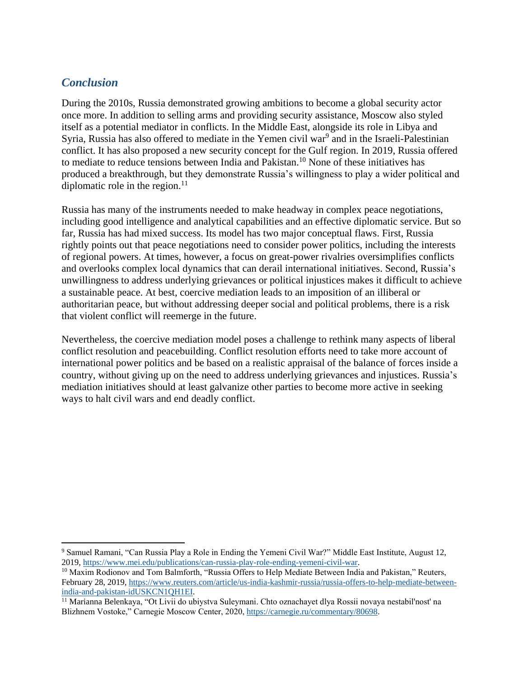# *Conclusion*

 $\overline{\phantom{a}}$ 

During the 2010s, Russia demonstrated growing ambitions to become a global security actor once more. In addition to selling arms and providing security assistance, Moscow also styled itself as a potential mediator in conflicts. In the Middle East, alongside its role in Libya and Syria, Russia has also offered to mediate in the Yemen civil war<sup>9</sup> and in the Israeli-Palestinian conflict. It has also proposed a new security concept for the Gulf region. In 2019, Russia offered to mediate to reduce tensions between India and Pakistan.<sup>10</sup> None of these initiatives has produced a breakthrough, but they demonstrate Russia's willingness to play a wider political and diplomatic role in the region. $^{11}$ 

Russia has many of the instruments needed to make headway in complex peace negotiations, including good intelligence and analytical capabilities and an effective diplomatic service. But so far, Russia has had mixed success. Its model has two major conceptual flaws. First, Russia rightly points out that peace negotiations need to consider power politics, including the interests of regional powers. At times, however, a focus on great-power rivalries oversimplifies conflicts and overlooks complex local dynamics that can derail international initiatives. Second, Russia's unwillingness to address underlying grievances or political injustices makes it difficult to achieve a sustainable peace. At best, coercive mediation leads to an imposition of an illiberal or authoritarian peace, but without addressing deeper social and political problems, there is a risk that violent conflict will reemerge in the future.

Nevertheless, the coercive mediation model poses a challenge to rethink many aspects of liberal conflict resolution and peacebuilding. Conflict resolution efforts need to take more account of international power politics and be based on a realistic appraisal of the balance of forces inside a country, without giving up on the need to address underlying grievances and injustices. Russia's mediation initiatives should at least galvanize other parties to become more active in seeking ways to halt civil wars and end deadly conflict.

<sup>9</sup> Samuel Ramani, "Can Russia Play a Role in Ending the Yemeni Civil War?" Middle East Institute, August 12, 2019, [https://www.mei.edu/publications/can-russia-play-role-ending-yemeni-civil-war.](https://www.mei.edu/publications/can-russia-play-role-ending-yemeni-civil-war)

<sup>&</sup>lt;sup>10</sup> Maxim Rodionov and Tom Balmforth, "Russia Offers to Help Mediate Between India and Pakistan," Reuters, February 28, 2019[, https://www.reuters.com/article/us-india-kashmir-russia/russia-offers-to-help-mediate-between](https://www.reuters.com/article/us-india-kashmir-russia/russia-offers-to-help-mediate-between-india-and-pakistan-idUSKCN1QH1EI)[india-and-pakistan-idUSKCN1QH1EI.](https://www.reuters.com/article/us-india-kashmir-russia/russia-offers-to-help-mediate-between-india-and-pakistan-idUSKCN1QH1EI)

<sup>&</sup>lt;sup>11</sup> Marianna Belenkaya, "Ot Livii do ubiystva Suleymani. Chto oznachayet dlya Rossii novaya nestabil'nost' na Blizhnem Vostoke," Carnegie Moscow Center, 2020, [https://carnegie.ru/commentary/80698.](https://carnegie.ru/commentary/80698)